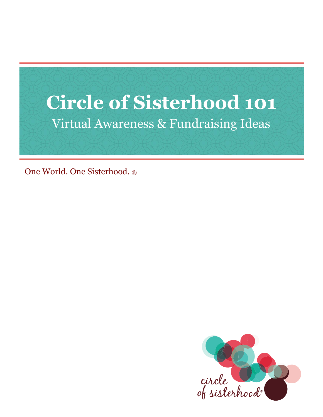

One World. One Sisterhood. ®

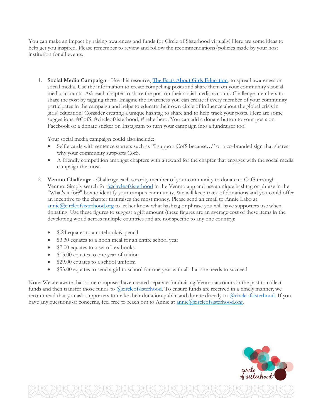You can make an impact by raising awareness and funds for Circle of Sisterhood virtually! Here are some ideas to help get you inspired. Please remember to review and follow the recommendations/policies made by your host institution for all events.

1. **Social Media Campaign** - Use this resource, [The Facts About Girls Education,](https://circleofsisterhood.org/wp-content/uploads/2021/03/The-Facts-About-Girls-Education_Revised-March-2021.pdf) to spread awareness on social media. Use the information to create compelling posts and share them on your community's social media accounts. Ask each chapter to share the post on their social media account. Challenge members to share the post by tagging them. Imagine the awareness you can create if every member of your community participates in the campaign and helps to educate their own circle of influence about the global crisis in girls' education! Consider creating a unique hashtag to share and to help track your posts. Here are some suggestions: #CofS, #circleofsisterhood, #beherhero. You can add a donate button to your posts on Facebook or a donate sticker on Instagram to turn your campaign into a fundraiser too!

Your social media campaign could also include:

- Selfie cards with sentence starters such as "I support CofS because…" or a co-branded sign that shares why your community supports CofS.
- A friendly competition amongst chapters with a reward for the chapter that engages with the social media campaign the most.
- 2. **Venmo Challenge** Challenge each sorority member of your community to donate to CofS through Venmo. Simply search for [@circleofsisterhood](https://venmo.com/circleofsisterhood) in the Venmo app and use a unique hashtag or phrase in the "What's it for?" box to identify your campus community. We will keep track of donations and you could offer an incentive to the chapter that raises the most money. Please send an email to Annie Labo at [annie@circleofsisterhood.org](mailto:annie@circleofsisterhood.org) to let her know what hashtag or phrase you will have supporters use when donating. Use these figures to suggest a gift amount (these figures are an average cost of these items in the developing world across multiple countries and are not specific to any one country):
	- \$.24 equates to a notebook & pencil
	- \$3.30 equates to a noon meal for an entire school year
	- \$7.00 equates to a set of textbooks
	- \$13.00 equates to one year of tuition
	- \$29.00 equates to a school uniform
	- \$53.00 equates to send a girl to school for one year with all that she needs to succeed

Note: We are aware that some campuses have created separate fundraising Venmo accounts in the past to collect funds and then transfer those funds to [@circleofsisterhood.](https://venmo.com/circleofsisterhood) To ensure funds are received in a timely manner, we recommend that you ask supporters to make their donation public and donate directly to [@circleofsisterhood.](https://venmo.com/circleofsisterhood) If you have any questions or concerns, feel free to reach out to Annie at <u>annie@circleofsisterhood.org</u>.

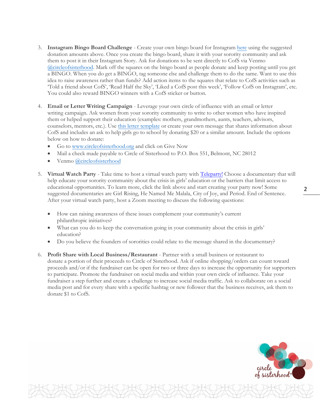- 3. **Instagram Bingo Board Challenge** Create your own bingo board for Instagram [here](https://www.kapwing.com/explore/instagram-bingo-template-maker) using the suggested donation amounts above. Once you create the bingo board, share it with your sorority community and ask them to post it in their Instagram Story. Ask for donations to be sent directly to CofS via Venmo [@circleofsisterhood.](https://venmo.com/circleofsisterhood) Mark off the squares on the bingo board as people donate and keep posting until you get a BINGO. When you do get a BINGO, tag someone else and challenge them to do the same. Want to use this idea to raise awareness rather than funds? Add action items to the squares that relate to CofS activities such as 'Told a friend about CofS', 'Read Half the Sky', 'Liked a CofS post this week', 'Follow CofS on Instagram', etc. You could also reward BINGO winners with a CofS sticker or button.
- 4. **Email or Letter Writing Campaign** Leverage your own circle of influence with an email or letter writing campaign. Ask women from your sorority community to write to other women who have inspired them or helped support their education (examples: mothers, grandmothers, aunts, teachers, advisors, counselors, mentors, etc.). Use [this letter template](https://docs.google.com/document/d/17kfUR6kE3xUKxpslRnPsqP1MW5WKnTHL/edit?usp=sharing&ouid=105820436264385306859&rtpof=true&sd=true) or create your own message that shares information about CofS and includes an ask to help girls go to school by donating \$20 or a similar amount. Include the options below on how to donate:
	- Go to [www.circleofsisterhood.org](http://www.circleofsisterhood.org/) and click on Give Now
	- Mail a check made payable to Circle of Sisterhood to P.O. Box 551, Belmont, NC 28012
	- Venmo [@circleofsisterhood](https://venmo.com/circleofsisterhood)
- 5. **Virtual Watch Party** Take time to host a virtual watch party with [Teleparty!](https://www.teleparty.com/) Choose a documentary that will help educate your sorority community about the crisis in girls' education or the barriers that limit access to educational opportunities. To learn more, click the link above and start creating your party now! Some suggested documentaries are Girl Rising, He Named Me Malala, City of Joy, and Period. End of Sentence. After your virtual watch party, host a Zoom meeting to discuss the following questions:
	- How can raising awareness of these issues complement your community's current philanthropic initiatives?
	- What can you do to keep the conversation going in your community about the crisis in girls' education?
	- Do you believe the founders of sororities could relate to the message shared in the documentary?
- 6. **Profit Share with Local Business/Restaurant** Partner with a small business or restaurant to donate a portion of their proceeds to Circle of Sisterhood. Ask if online shopping/orders can count toward proceeds and/or if the fundraiser can be open for two or three days to increase the opportunity for supporters to participate. Promote the fundraiser on social media and within your own circle of influence. Take your fundraiser a step further and create a challenge to increase social media traffic. Ask to collaborate on a social media post and for every share with a specific hashtag or new follower that the business receives, ask them to donate \$1 to CofS.



## 2